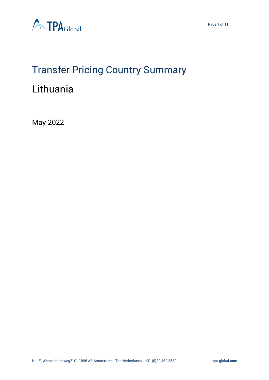



# Transfer Pricing Country Summary

# Lithuania

May 2022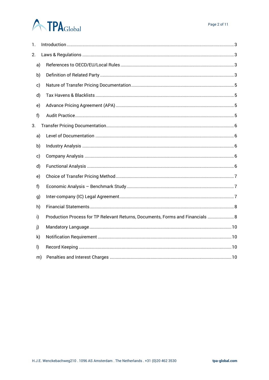# **ATPA**Global

| 1.           |    |                                                                                |  |  |  |  |
|--------------|----|--------------------------------------------------------------------------------|--|--|--|--|
| 2.           |    |                                                                                |  |  |  |  |
| a)           |    |                                                                                |  |  |  |  |
| b)           |    |                                                                                |  |  |  |  |
| c)           |    |                                                                                |  |  |  |  |
| d)           |    |                                                                                |  |  |  |  |
| e)           |    |                                                                                |  |  |  |  |
| f)           |    |                                                                                |  |  |  |  |
| 3.           |    |                                                                                |  |  |  |  |
| a)           |    |                                                                                |  |  |  |  |
| b)           |    |                                                                                |  |  |  |  |
| c)           |    |                                                                                |  |  |  |  |
| d)           |    |                                                                                |  |  |  |  |
| e)           |    |                                                                                |  |  |  |  |
| f)           |    |                                                                                |  |  |  |  |
| g)           |    |                                                                                |  |  |  |  |
| h)           |    |                                                                                |  |  |  |  |
| i)           |    | Production Process for TP Relevant Returns, Documents, Forms and Financials  8 |  |  |  |  |
| j)           |    |                                                                                |  |  |  |  |
| k)           |    |                                                                                |  |  |  |  |
| $\mathsf{I}$ |    |                                                                                |  |  |  |  |
|              | m) |                                                                                |  |  |  |  |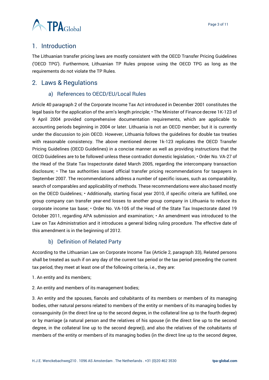

## <span id="page-2-0"></span>1. Introduction

The Lithuanian transfer pricing laws are mostly consistent with the OECD Transfer Pricing Guidelines ('OECD TPG'). Furthermore, Lithuanian TP Rules propose using the OECD TPG as long as the requirements do not violate the TP Rules.

### <span id="page-2-2"></span><span id="page-2-1"></span>2. Laws & Regulations

#### a) References to OECD/EU/Local Rules

Article 40 paragraph 2 of the Corporate Income Tax Act introduced in December 2001 constitutes the legal basis for the application of the arm's length principle; • The Minister of Finance decree 1K-123 of 9 April 2004 provided comprehensive documentation requirements, which are applicable to accounting periods beginning in 2004 or later. Lithuania is not an OECD member; but it is currently under the discussion to join OECD. However, Lithuania follows the guidelines for double tax treaties with reasonable consistency. The above mentioned decree 1k-123 replicates the OECD Transfer Pricing Guidelines (OECD Guidelines) in a concise manner as well as providing instructions that the OECD Guidelines are to be followed unless these contradict domestic legislation; • Order No. VA-27 of the Head of the State Tax Inspectorate dated March 2005, regarding the intercompany transaction disclosure; • The tax authorities issued official transfer pricing recommendations for taxpayers in September 2007. The recommendations address a number of specific issues, such as comparability, search of comparables and applicability of methods. These recommendations were also based mostly on the OECD Guidelines; • Additionally, starting fiscal year 2010, if specific criteria are fulfilled, one group company can transfer year-end losses to another group company in Lithuania to reduce its corporate income tax base; • Order No. VA-105 of the Head of the State Tax Inspectorate dated 19 October 2011, regarding APA submission and examination; • An amendment was introduced to the Law on Tax Administration and it introduces a general biding ruling procedure. The effective date of this amendment is in the beginning of 2012.

#### b) Definition of Related Party

<span id="page-2-3"></span>According to the Lithuanian Law on Corporate Income Tax (Article 2, paragraph 33), Related persons shall be treated as such if on any day of the current tax period or the tax period preceding the current tax period, they meet at least one of the following criteria, i.e., they are:

- 1. An entity and its members;
- 2. An entity and members of its management bodies;

3. An entity and the spouses, fiancés and cohabitants of its members or members of its managing bodies, other natural persons related to members of the entity or members of its managing bodies by consanguinity (in the direct line up to the second degree, in the collateral line up to the fourth degree) or by marriage (a natural person and the relatives of his spouse (in the direct line up to the second degree, in the collateral line up to the second degree)), and also the relatives of the cohabitants of members of the entity or members of its managing bodies (in the direct line up to the second degree,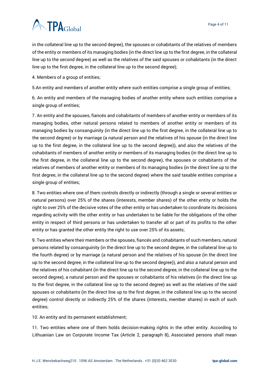# **ATPA**Global

in the collateral line up to the second degree), the spouses or cohabitants of the relatives of members of the entity or members of its managing bodies (in the direct line up to the first degree, in the collateral line up to the second degree) as well as the relatives of the said spouses or cohabitants (in the direct line up to the first degree, in the collateral line up to the second degree);

4. Members of a group of entities;

5.An entity and members of another entity where such entities comprise a single group of entities;

6. An entity and members of the managing bodies of another entity where such entities comprise a single group of entities;

7. An entity and the spouses, fiancés and cohabitants of members of another entity or members of its managing bodies, other natural persons related to members of another entity or members of its managing bodies by consanguinity (in the direct line up to the first degree, in the collateral line up to the second degree) or by marriage (a natural person and the relatives of his spouse (in the direct line up to the first degree, in the collateral line up to the second degree)), and also the relatives of the cohabitants of members of another entity or members of its managing bodies (in the direct line up to the first degree, in the collateral line up to the second degree), the spouses or cohabitants of the relatives of members of another entity or members of its managing bodies (in the direct line up to the first degree, in the collateral line up to the second degree) where the said taxable entities comprise a single group of entities;

8. Two entities where one of them controls directly or indirectly (through a single or several entities or natural persons) over 25% of the shares (interests, member shares) of the other entity or holds the right to over 25% of the decisive votes of the other entity or has undertaken to coordinate its decisions regarding activity with the other entity or has undertaken to be liable for the obligations of the other entity in respect of third persons or has undertaken to transfer all or part of its profits to the other entity or has granted the other entity the right to use over 25% of its assets;

9. Two entities where their members or the spouses, fiancés and cohabitants of such members, natural persons related by consanguinity (in the direct line up to the second degree, in the collateral line up to the fourth degree) or by marriage (a natural person and the relatives of his spouse (in the direct line up to the second degree, in the collateral line up to the second degree)), and also a natural person and the relatives of his cohabitant (in the direct line up to the second degree, in the collateral line up to the second degree), a natural person and the spouses or cohabitants of his relatives (in the direct line up to the first degree, in the collateral line up to the second degree) as well as the relatives of the said spouses or cohabitants (in the direct line up to the first degree, in the collateral line up to the second degree) control directly or indirectly 25% of the shares (interests, member shares) in each of such entities;

10. An entity and its permanent establishment;

11. Two entities where one of them holds decision-making rights in the other entity. According to Lithuanian Law on Corporate Income Tax (Article 2, paragraph 8), Associated persons shall mean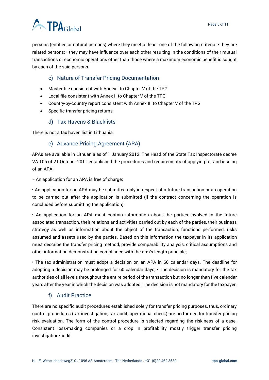

persons (entities or natural persons) where they meet at least one of the following criteria: • they are related persons; • they may have influence over each other resulting in the conditions of their mutual transactions or economic operations other than those where a maximum economic benefit is sought by each of the said persons

#### c) Nature of Transfer Pricing Documentation

- <span id="page-4-0"></span>• Master file consistent with Annex I to Chapter V of the TPG
- Local file consistent with Annex II to Chapter V of the TPG
- Country-by-country report consistent with Annex III to Chapter V of the TPG
- Specific transfer pricing returns

#### d) Tax Havens & Blacklists

<span id="page-4-2"></span><span id="page-4-1"></span>There is not a tax haven list in Lithuania.

#### e) Advance Pricing Agreement (APA)

APAs are available in Lithuania as of 1 January 2012. The Head of the State Tax Inspectorate decree VA-106 of 21 October 2011 established the procedures and requirements of applying for and issuing of an APA:

• An application for an APA is free of charge;

• An application for an APA may be submitted only in respect of a future transaction or an operation to be carried out after the application is submitted (if the contract concerning the operation is concluded before submitting the application);

• An application for an APA must contain information about the parties involved in the future associated transaction, their relations and activities carried out by each of the parties, their business strategy as well as information about the object of the transaction, functions performed, risks assumed and assets used by the parties. Based on this information the taxpayer in its application must describe the transfer pricing method, provide comparability analysis, critical assumptions and other information demonstrating compliance with the arm's length principle;

• The tax administration must adopt a decision on an APA in 60 calendar days. The deadline for adopting a decision may be prolonged for 60 calendar days; • The decision is mandatory for the tax authorities of all levels throughout the entire period of the transaction but no longer than five calendar years after the year in which the decision was adopted. The decision is not mandatory for the taxpayer.

#### f) Audit Practice

<span id="page-4-3"></span>There are no specific audit procedures established solely for transfer pricing purposes, thus, ordinary control procedures (tax investigation, tax audit, operational check) are performed for transfer pricing risk evaluation. The form of the control procedure is selected regarding the riskiness of a case. Consistent loss-making companies or a drop in profitability mostly trigger transfer pricing investigation/audit.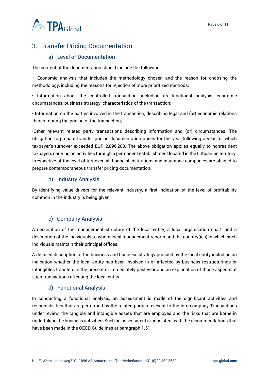

# <span id="page-5-0"></span>3. Transfer Pricing Documentation

#### a) Level of Documentation

<span id="page-5-1"></span>The content of the documentation should include the following:

• Economic analysis that includes the methodology chosen and the reason for choosing the methodology, including the reasons for rejection of more prioritized methods;

• Information about the controlled transaction, including its functional analysis, economic circumstances, business strategy, characteristics of the transaction;

• Information on the parties involved in the transaction, describing legal and (or) economic relations thereof during the pricing of the transaction;

•Other relevant related party transactions describing information and (or) circumstances. The obligation to prepare transfer pricing documentation arises for the year following a year for which taxpayer's turnover exceeded EUR 2,896,200. The above obligation applies equally to nonresident taxpayers carrying on activities through a permanent establishment located in the Lithuanian territory. Irrespective of the level of turnover, all financial institutions and insurance companies are obliged to prepare contemporaneous transfer pricing documentation.

#### b) Industry Analysis

<span id="page-5-2"></span>By identifying value drivers for the relevant industry, a first indication of the level of profitability common in the industry is being given.

#### c) Company Analysis

<span id="page-5-3"></span>A description of the management structure of the local entity, a local organisation chart, and a description of the individuals to whom local management reports and the country(ies) in which such individuals maintain their principal offices.

A detailed description of the business and business strategy pursued by the local entity including an indication whether the local entity has been involved in or affected by business restructurings or intangibles transfers in the present or immediately past year and an explanation of those aspects of such transactions affecting the local entity.

#### d) Functional Analysis

<span id="page-5-4"></span>In conducting a functional analysis, an assessment is made of the significant activities and responsibilities that are performed by the related parties relevant to the Intercompany Transactions under review, the tangible and intangible assets that are employed and the risks that are borne in undertaking the business activities. Such an assessment is consistent with the recommendations that have been made in the OECD Guidelines at paragraph 1.51.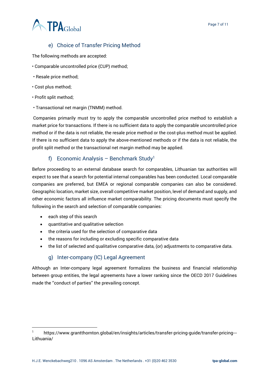# **A TPA**Global

# e) Choice of Transfer Pricing Method

<span id="page-6-0"></span>The following methods are accepted:

- Comparable uncontrolled price (CUP) method;
- Resale price method;
- Cost plus method;
- Profit split method;
- Transactional net margin (TNMM) method.

Companies primarily must try to apply the comparable uncontrolled price method to establish a market price for transactions. If there is no sufficient data to apply the comparable uncontrolled price method or if the data is not reliable, the resale price method or the cost-plus method must be applied. If there is no sufficient data to apply the above-mentioned methods or if the data is not reliable, the profit split method or the transactional net margin method may be applied.

#### f) Economic Analysis – Benchmark Study<sup>1</sup>

<span id="page-6-1"></span>Before proceeding to an external database search for comparables, Lithuanian tax authorities will expect to see that a search for potential internal comparables has been conducted. Local comparable companies are preferred, but EMEA or regional comparable companies can also be considered. Geographic location, market size, overall competitive market position, level of demand and supply, and other economic factors all influence market comparability. The pricing documents must specify the following in the search and selection of comparable companies:

- each step of this search
- quantitative and qualitative selection
- the criteria used for the selection of comparative data
- the reasons for including or excluding specific comparative data
- the list of selected and qualitative comparative data, (or) adjustments to comparative data.

#### g) Inter-company (IC) Legal Agreement

<span id="page-6-2"></span>Although an Inter-company legal agreement formalizes the business and financial relationship between group entities, the legal agreements have a lower ranking since the OECD 2017 Guidelines made the ''conduct of parties'' the prevailing concept.

https://www.grantthornton.global/en/insights/articles/transfer-pricing-quide/transfer-pricing---Lithuania/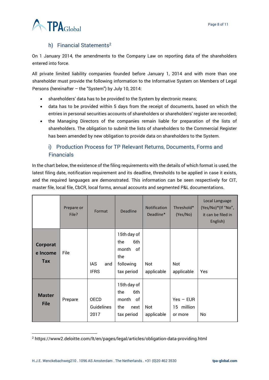

#### h) Financial Statements<sup>2</sup>

<span id="page-7-0"></span>On 1 January 2014, the amendments to the Company Law on reporting data of the shareholders entered into force.

All private limited liability companies founded before January 1, 2014 and with more than one shareholder must provide the following information to the Informative System on Members of Legal Persons (hereinafter – the "System") by July 10, 2014:

- shareholders' data has to be provided to the System by electronic means;
- data has to be provided within 5 days from the receipt of documents, based on which the entries in personal securities accounts of shareholders or shareholders' register are recorded;
- the Managing Directors of the companies remain liable for preparation of the lists of shareholders. The obligation to submit the lists of shareholders to the Commercial Register has been amended by new obligation to provide data on shareholders to the System.

## <span id="page-7-1"></span>i) Production Process for TP Relevant Returns, Documents, Forms and **Financials**

In the chart below, the existence of the filing requirements with the details of which format is used, the latest filing date, notification requirement and its deadline, thresholds to be applied in case it exists, and the required languages are demonstrated. This information can be seen respectively for CIT, master file, local file, CbCR, local forms, annual accounts and segmented P&L documentations.

|                              | Prepare or<br>File? | Format                            | <b>Deadline</b>                                                            | <b>Notification</b><br>Deadline* | Threshold*<br>(Yes/No)               | Local Language<br>(Yes/No)*(If "No",<br>it can be filed in<br>English) |
|------------------------------|---------------------|-----------------------------------|----------------------------------------------------------------------------|----------------------------------|--------------------------------------|------------------------------------------------------------------------|
| Corporat<br>e Income<br>Tax  | File                | <b>IAS</b><br>and<br><b>IFRS</b>  | 15th day of<br>the<br>6th<br>month<br>0f<br>the<br>following<br>tax period | Not<br>applicable                | Not<br>applicable                    | Yes                                                                    |
| <b>Master</b><br><b>File</b> | Prepare             | <b>OECD</b><br>Guidelines<br>2017 | 15th day of<br>6th<br>the<br>month<br>of<br>the<br>next<br>tax period      | Not<br>applicable                | $Yes - EUR$<br>15 million<br>or more | No                                                                     |

<sup>2</sup> https://www2.deloitte.com/lt/en/pages/legal/articles/obligation-data-providing.html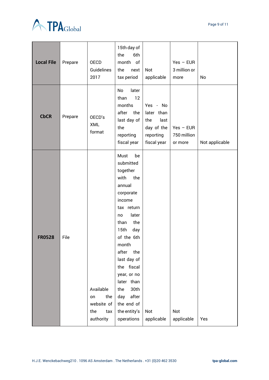



| <b>Local File</b> | Prepare | OECD<br>Guidelines<br>2017                                      | 15th day of<br>the<br>6th<br>month of<br>the<br>next<br>tax period                                                                                                                                                                                                                                                                     | Not<br>applicable                                                               | $Yes - EUR$<br>3 million or<br>more   | No             |
|-------------------|---------|-----------------------------------------------------------------|----------------------------------------------------------------------------------------------------------------------------------------------------------------------------------------------------------------------------------------------------------------------------------------------------------------------------------------|---------------------------------------------------------------------------------|---------------------------------------|----------------|
| <b>CbCR</b>       | Prepare | OECD's<br><b>XML</b><br>format                                  | No<br>later<br>12<br>than<br>months<br>after<br>the<br>last day of<br>the<br>reporting<br>fiscal year                                                                                                                                                                                                                                  | Yes - No<br>later than<br>the<br>last<br>day of the<br>reporting<br>fiscal year | $Yes - EUR$<br>750 million<br>or more | Not applicable |
| <b>FR0528</b>     | File    | Available<br>the<br>on<br>website of<br>the<br>tax<br>authority | Must<br>be<br>submitted<br>together<br>with<br>the<br>annual<br>corporate<br>income<br>tax return<br>later<br>no<br>the<br>than<br>15 <sub>th</sub><br>day<br>of the 6th<br>month<br>after<br>the<br>last day of<br>the fiscal<br>year, or no<br>later than<br>30th<br>the<br>after<br>day<br>the end of<br>the entity's<br>operations | Not<br>applicable                                                               | Not<br>applicable                     | Yes            |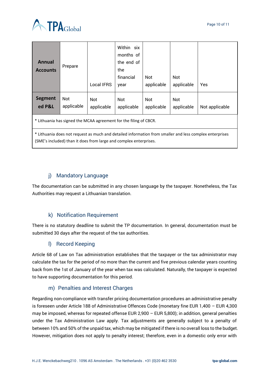



| <b>Annual</b><br><b>Accounts</b>                                                                                                                                             | Prepare           | Local IFRS        | Within six<br>months of<br>the end of<br>the<br>financial<br>year | Not<br>applicable | Not<br>applicable | <b>Yes</b>     |  |
|------------------------------------------------------------------------------------------------------------------------------------------------------------------------------|-------------------|-------------------|-------------------------------------------------------------------|-------------------|-------------------|----------------|--|
| Segment<br>ed P&L                                                                                                                                                            | Not<br>applicable | Not<br>applicable | Not<br>applicable                                                 | Not<br>applicable | Not<br>applicable | Not applicable |  |
| * Lithuania has signed the MCAA agreement for the filing of CBCR.                                                                                                            |                   |                   |                                                                   |                   |                   |                |  |
| * Lithuania does not request as much and detailed information from smaller and less complex enterprises<br>(SME's included) than it does from large and complex enterprises. |                   |                   |                                                                   |                   |                   |                |  |

## j) Mandatory Language

<span id="page-9-0"></span>The documentation can be submitted in any chosen language by the taxpayer. Nonetheless, the Tax Authorities may request a Lithuanian translation.

### k) Notification Requirement

<span id="page-9-1"></span>There is no statutory deadline to submit the TP documentation. In general, documentation must be submitted 30 days after the request of the tax authorities.

#### l) Record Keeping

<span id="page-9-2"></span>Article 68 of Law on Tax administration establishes that the taxpayer or the tax administrator may calculate the tax for the period of no more than the current and five previous calendar years counting back from the 1st of January of the year when tax was calculated. Naturally, the taxpayer is expected to have supporting documentation for this period.

#### m) Penalties and Interest Charges

<span id="page-9-3"></span>Regarding non-compliance with transfer pricing documentation procedures an administrative penalty is foreseen under Article 188 of Administrative Offences Code (monetary fine EUR 1,400 – EUR 4,300 may be imposed, whereas for repeated offense EUR 2,900 – EUR 5,800); in addition, general penalties under the Tax Administration Law apply. Tax adjustments are generally subject to a penalty of between 10% and 50% of the unpaid tax, which may be mitigated if there is no overall loss to the budget. However, mitigation does not apply to penalty interest; therefore, even in a domestic only error with